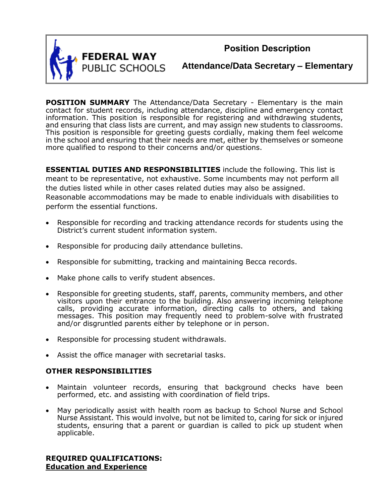

**Position Description**

**Attendance/Data Secretary – Elementary**

**POSITION SUMMARY** The Attendance/Data Secretary - Elementary is the main contact for student records, including attendance, discipline and emergency contact information. This position is responsible for registering and withdrawing students, and ensuring that class lists are current, and may assign new students to classrooms. This position is responsible for greeting guests cordially, making them feel welcome in the school and ensuring that their needs are met, either by themselves or someone more qualified to respond to their concerns and/or questions.

**ESSENTIAL DUTIES AND RESPONSIBILITIES** include the following. This list is meant to be representative, not exhaustive. Some incumbents may not perform all the duties listed while in other cases related duties may also be assigned. Reasonable accommodations may be made to enable individuals with disabilities to perform the essential functions.

- Responsible for recording and tracking attendance records for students using the District's current student information system.
- Responsible for producing daily attendance bulletins.
- Responsible for submitting, tracking and maintaining Becca records.
- Make phone calls to verify student absences.
- Responsible for greeting students, staff, parents, community members, and other visitors upon their entrance to the building. Also answering incoming telephone calls, providing accurate information, directing calls to others, and taking messages. This position may frequently need to problem-solve with frustrated and/or disgruntled parents either by telephone or in person.
- Responsible for processing student withdrawals.
- Assist the office manager with secretarial tasks.

### **OTHER RESPONSIBILITIES**

- Maintain volunteer records, ensuring that background checks have been performed, etc. and assisting with coordination of field trips.
- May periodically assist with health room as backup to School Nurse and School Nurse Assistant. This would involve, but not be limited to, caring for sick or injured students, ensuring that a parent or guardian is called to pick up student when applicable.

### **REQUIRED QUALIFICATIONS: Education and Experience**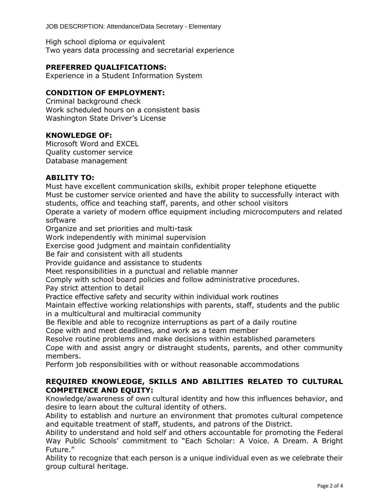JOB DESCRIPTION: Attendance/Data Secretary - Elementary

High school diploma or equivalent Two years data processing and secretarial experience

## **PREFERRED QUALIFICATIONS:**

Experience in a Student Information System

## **CONDITION OF EMPLOYMENT:**

Criminal background check Work scheduled hours on a consistent basis Washington State Driver's License

### **KNOWLEDGE OF:**

Microsoft Word and EXCEL Quality customer service Database management

### **ABILITY TO:**

Must have excellent communication skills, exhibit proper telephone etiquette Must be customer service oriented and have the ability to successfully interact with students, office and teaching staff, parents, and other school visitors Operate a variety of modern office equipment including microcomputers and related software Organize and set priorities and multi-task Work independently with minimal supervision Exercise good judgment and maintain confidentiality Be fair and consistent with all students Provide guidance and assistance to students Meet responsibilities in a punctual and reliable manner Comply with school board policies and follow administrative procedures. Pay strict attention to detail

Practice effective safety and security within individual work routines

Maintain effective working relationships with parents, staff, students and the public in a multicultural and multiracial community

Be flexible and able to recognize interruptions as part of a daily routine Cope with and meet deadlines, and work as a team member

Resolve routine problems and make decisions within established parameters

Cope with and assist angry or distraught students, parents, and other community members.

Perform job responsibilities with or without reasonable accommodations

# **REQUIRED KNOWLEDGE, SKILLS AND ABILITIES RELATED TO CULTURAL COMPETENCE AND EQUITY:**

Knowledge/awareness of own cultural identity and how this influences behavior, and desire to learn about the cultural identity of others.

Ability to establish and nurture an environment that promotes cultural competence and equitable treatment of staff, students, and patrons of the District.

Ability to understand and hold self and others accountable for promoting the Federal Way Public Schools' commitment to "Each Scholar: A Voice. A Dream. A Bright Future."

Ability to recognize that each person is a unique individual even as we celebrate their group cultural heritage.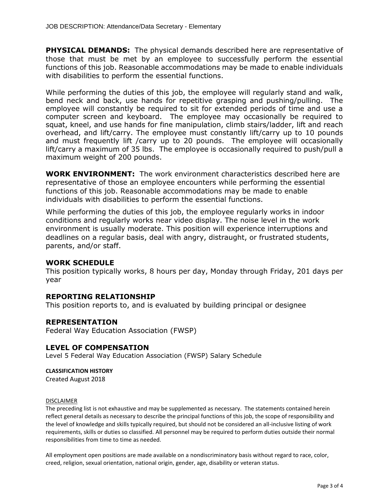**PHYSICAL DEMANDS:** The physical demands described here are representative of those that must be met by an employee to successfully perform the essential functions of this job. Reasonable accommodations may be made to enable individuals with disabilities to perform the essential functions.

While performing the duties of this job, the employee will regularly stand and walk, bend neck and back, use hands for repetitive grasping and pushing/pulling. The employee will constantly be required to sit for extended periods of time and use a computer screen and keyboard. The employee may occasionally be required to squat, kneel, and use hands for fine manipulation, climb stairs/ladder, lift and reach overhead, and lift/carry. The employee must constantly lift/carry up to 10 pounds and must frequently lift /carry up to 20 pounds. The employee will occasionally lift/carry a maximum of 35 lbs. The employee is occasionally required to push/pull a maximum weight of 200 pounds.

**WORK ENVIRONMENT:** The work environment characteristics described here are representative of those an employee encounters while performing the essential functions of this job. Reasonable accommodations may be made to enable individuals with disabilities to perform the essential functions.

While performing the duties of this job, the employee regularly works in indoor conditions and regularly works near video display. The noise level in the work environment is usually moderate. This position will experience interruptions and deadlines on a regular basis, deal with angry, distraught, or frustrated students, parents, and/or staff.

### **WORK SCHEDULE**

This position typically works, 8 hours per day, Monday through Friday, 201 days per year

### **REPORTING RELATIONSHIP**

This position reports to, and is evaluated by building principal or designee

### **REPRESENTATION**

Federal Way Education Association (FWSP)

### **LEVEL OF COMPENSATION**

Level 5 Federal Way Education Association (FWSP) Salary Schedule

#### **CLASSIFICATION HISTORY**

Created August 2018

#### DISCLAIMER

The preceding list is not exhaustive and may be supplemented as necessary. The statements contained herein reflect general details as necessary to describe the principal functions of this job, the scope of responsibility and the level of knowledge and skills typically required, but should not be considered an all-inclusive listing of work requirements, skills or duties so classified. All personnel may be required to perform duties outside their normal responsibilities from time to time as needed.

All employment open positions are made available on a nondiscriminatory basis without regard to race, color, creed, religion, sexual orientation, national origin, gender, age, disability or veteran status.